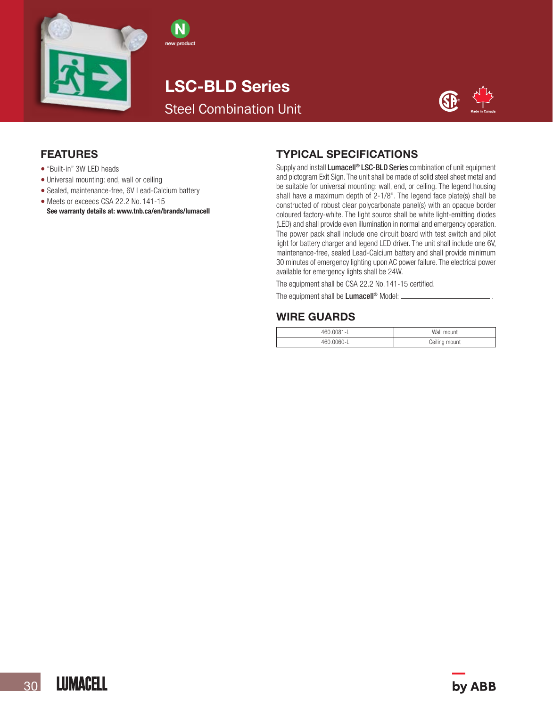

LSC-BLD Series Steel Combination Unit

N new product



### FEATURES

- "Built-in" 3W LED heads
- Universal mounting: end, wall or ceiling
- Sealed, maintenance-free, 6V Lead-Calcium battery
- Meets or exceeds CSA 22.2 No. 141-15 See warranty details at: www.tnb.ca/en/brands/lumacell

### TYPICAL SPECIFICATIONS

Supply and install Lumacell<sup>®</sup> LSC-BLD Series combination of unit equipment and pictogram Exit Sign. The unit shall be made of solid steel sheet metal and be suitable for universal mounting: wall, end, or ceiling. The legend housing shall have a maximum depth of 2-1/8". The legend face plate(s) shall be constructed of robust clear polycarbonate panel(s) with an opaque border coloured factory-white. The light source shall be white light-emitting diodes (LED) and shall provide even illumination in normal and emergency operation. The power pack shall include one circuit board with test switch and pilot light for battery charger and legend LED driver. The unit shall include one 6V, maintenance-free, sealed Lead-Calcium battery and shall provide minimum 30 minutes of emergency lighting upon AC power failure. The electrical power available for emergency lights shall be 24W.

The equipment shall be CSA 22.2 No. 141-15 certified.

The equipment shall be **Lumacell<sup>®</sup>** Model: \_\_\_

## WIRE GUARDS

| 160.0081-L            | Wall mount    |
|-----------------------|---------------|
| $-0060 - 1$<br>$-460$ | Ceiling mount |